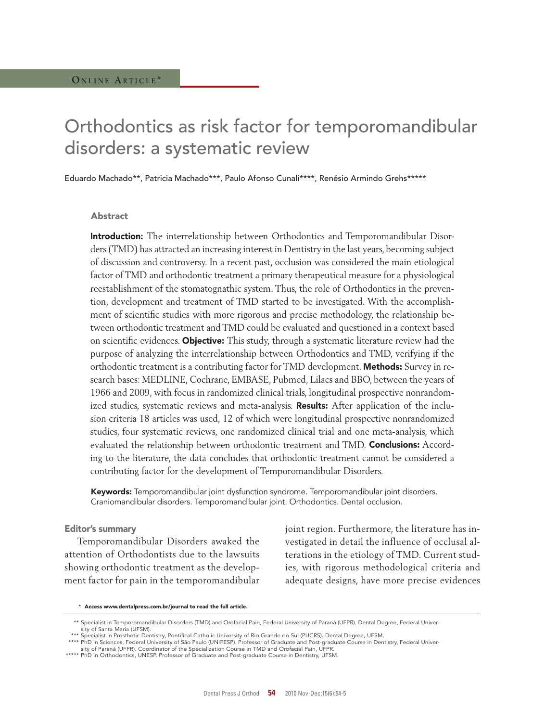# Orthodontics as risk factor for temporomandibular disorders: a systematic review

Eduardo Machado\*\*, Patricia Machado\*\*\*, Paulo Afonso Cunali\*\*\*\*, Renésio Armindo Grehs\*\*\*\*\*

### Abstract

Introduction: The interrelationship between Orthodontics and Temporomandibular Disorders (TMD) has attracted an increasing interest in Dentistry in the last years, becoming subject of discussion and controversy. In a recent past, occlusion was considered the main etiological factor of TMD and orthodontic treatment a primary therapeutical measure for a physiological reestablishment of the stomatognathic system. Thus, the role of Orthodontics in the prevention, development and treatment of TMD started to be investigated. With the accomplishment of scientific studies with more rigorous and precise methodology, the relationship between orthodontic treatment and TMD could be evaluated and questioned in a context based on scientific evidences. Objective: This study, through a systematic literature review had the purpose of analyzing the interrelationship between Orthodontics and TMD, verifying if the orthodontic treatment is a contributing factor for TMD development. **Methods:** Survey in research bases: MEDLINE, Cochrane, EMBASE, Pubmed, Lilacs and BBO, between the years of 1966 and 2009, with focus in randomized clinical trials, longitudinal prospective nonrandomized studies, systematic reviews and meta-analysis. Results: After application of the inclusion criteria 18 articles was used, 12 of which were longitudinal prospective nonrandomized studies, four systematic reviews, one randomized clinical trial and one meta-analysis, which evaluated the relationship between orthodontic treatment and TMD. Conclusions: According to the literature, the data concludes that orthodontic treatment cannot be considered a contributing factor for the development of Temporomandibular Disorders.

Keywords: Temporomandibular joint dysfunction syndrome. Temporomandibular joint disorders. Craniomandibular disorders. Temporomandibular joint. Orthodontics. Dental occlusion.

#### Editor's summary

Temporomandibular Disorders awaked the attention of Orthodontists due to the lawsuits showing orthodontic treatment as the development factor for pain in the temporomandibular joint region. Furthermore, the literature has investigated in detail the influence of occlusal alterations in the etiology of TMD. Current studies, with rigorous methodological criteria and adequate designs, have more precise evidences

\* Access www.dentalpress.com.br/journal to read the full article.

 <sup>\*\*</sup> Specialist in Temporomandibular Disorders (TMD) and Orofacial Pain, Federal University of Paraná (UFPR). Dental Degree, Federal University of Santa Maria (UFSM).

Specialist in Prosthetic Dentistry, Pontifical Catholic University of Rio Grande do Sul (PUCRS). Dental Degree, UFSM.

<sup>\*\*\*\*</sup> PhD in Sciences, Federal University of São Paulo (UNIFESP). Professor of Graduate and Post-graduate Course in Dentistry, Federal University of Paraná (UFPR). Coordinator of the Specialization Course in TMD and Orofacial Pain, UFPR.

<sup>\*\*\*\*\*</sup> PhD in Orthodontics, UNESP. Professor of Graduate and Post-graduate Course in Dentistry, UFSM.